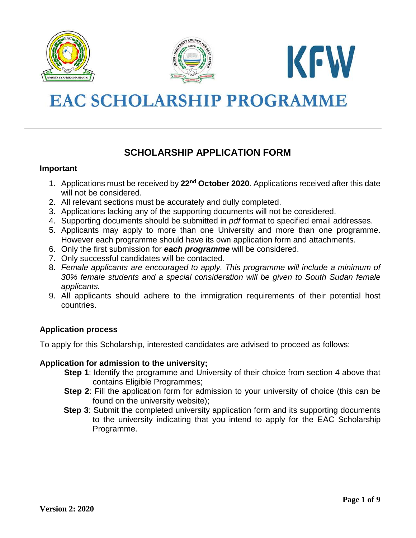





# **EAC SCHOLARSHIP PROGRAMME**

# **SCHOLARSHIP APPLICATION FORM**

#### **Important**

- 1. Applications must be received by **22nd October 2020**. Applications received after this date will not be considered.
- 2. All relevant sections must be accurately and dully completed.
- 3. Applications lacking any of the supporting documents will not be considered.
- 4. Supporting documents should be submitted in *pdf* format to specified email addresses.
- 5. Applicants may apply to more than one University and more than one programme. However each programme should have its own application form and attachments.
- 6. Only the first submission for *each programme* will be considered.
- 7. Only successful candidates will be contacted.
- 8. *Female applicants are encouraged to apply. This programme will include a minimum of 30% female students and a special consideration will be given to South Sudan female applicants.*
- 9. All applicants should adhere to the immigration requirements of their potential host countries.

# **Application process**

To apply for this Scholarship, interested candidates are advised to proceed as follows:

#### **Application for admission to the university;**

- **Step 1**: Identify the programme and University of their choice from section 4 above that contains Eligible Programmes;
- **Step 2**: Fill the application form for admission to your university of choice (this can be found on the university website);
- **Step 3**: Submit the completed university application form and its supporting documents to the university indicating that you intend to apply for the EAC Scholarship Programme.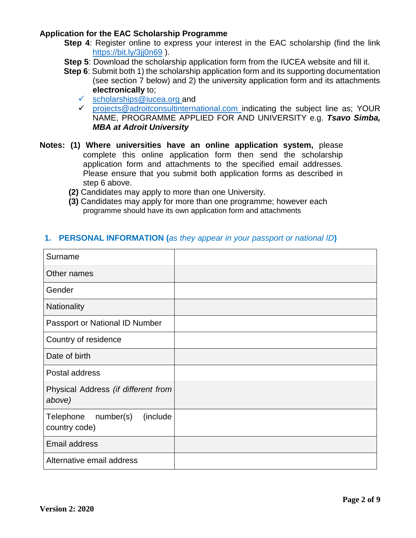#### **Application for the EAC Scholarship Programme**

- **Step 4**: Register online to express your interest in the EAC scholarship (find the link <https://bit.ly/3jj0n69>).
- **Step 5:** Download the scholarship application form from the IUCEA website and fill it.
- **Step 6**: Submit both 1) the scholarship application form and its supporting documentation (see section 7 below) and 2) the university application form and its attachments **electronically** to;
	- $\checkmark$  [scholarships@iucea.org](mailto:scholarships@iucea.org) and
	- $\checkmark$  [projects@adroitconsultinternational.com](mailto:projects@adroitconsultinternational.com) indicating the subject line as; YOUR NAME, PROGRAMME APPLIED FOR AND UNIVERSITY e.g. *Tsavo Simba, MBA at Adroit University*
- **Notes: (1) Where universities have an online application system,** please complete this online application form then send the scholarship application form and attachments to the specified email addresses. Please ensure that you submit both application forms as described in step 6 above.
	- **(2)** Candidates may apply to more than one University.
	- **(3)** Candidates may apply for more than one programme; however each programme should have its own application form and attachments

#### **1. PERSONAL INFORMATION (***as they appear in your passport or national ID***)**

| Surname                                             |  |
|-----------------------------------------------------|--|
| Other names                                         |  |
| Gender                                              |  |
| Nationality                                         |  |
| Passport or National ID Number                      |  |
| Country of residence                                |  |
| Date of birth                                       |  |
| Postal address                                      |  |
| Physical Address (if different from<br>above)       |  |
| (include<br>Telephone<br>number(s)<br>country code) |  |
| <b>Email address</b>                                |  |
| Alternative email address                           |  |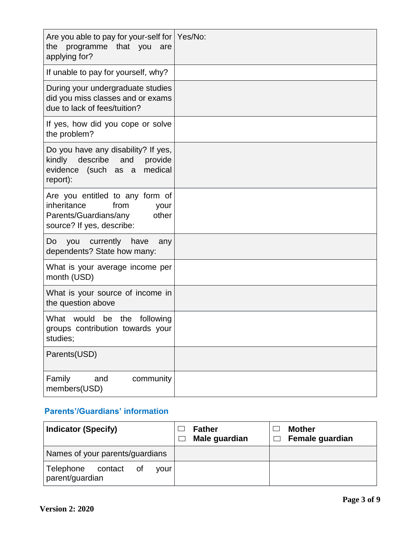| Are you able to pay for your-self for   Yes/No:<br>programme that you<br>the<br>are<br>applying for?                          |  |
|-------------------------------------------------------------------------------------------------------------------------------|--|
| If unable to pay for yourself, why?                                                                                           |  |
| During your undergraduate studies<br>did you miss classes and or exams<br>due to lack of fees/tuition?                        |  |
| If yes, how did you cope or solve<br>the problem?                                                                             |  |
| Do you have any disability? If yes,<br>kindly<br>describe<br>and<br>provide<br>evidence (such as a medical<br>report):        |  |
| Are you entitled to any form of<br>inheritance<br>from<br>your<br>Parents/Guardians/any<br>other<br>source? If yes, describe: |  |
| currently<br>have<br>Do<br>you<br>any<br>dependents? State how many:                                                          |  |
| What is your average income per<br>month (USD)                                                                                |  |
| What is your source of income in<br>the question above                                                                        |  |
| What<br>would<br>be the<br>following<br>groups contribution towards your<br>studies;                                          |  |
| Parents(USD)                                                                                                                  |  |
| Family<br>community<br>and<br>members(USD)                                                                                    |  |

# **Parents'/Guardians' information**

| <b>Indicator (Specify)</b>                            | <b>Father</b><br>Male guardian | <b>Mother</b><br>Female guardian |
|-------------------------------------------------------|--------------------------------|----------------------------------|
| Names of your parents/guardians                       |                                |                                  |
| Telephone<br>contact<br>οf<br>vour<br>parent/guardian |                                |                                  |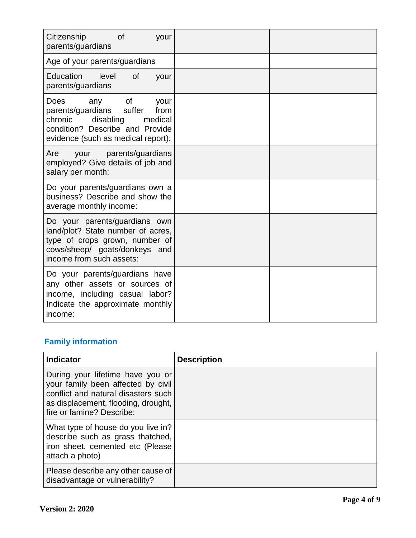| <sub>of</sub><br>Citizenship<br>your<br>parents/guardians                                                                                                                    |  |
|------------------------------------------------------------------------------------------------------------------------------------------------------------------------------|--|
| Age of your parents/guardians                                                                                                                                                |  |
| Education<br>level<br><b>of</b><br>your<br>parents/guardians                                                                                                                 |  |
| 0f<br>Does<br>any<br>your<br>parents/guardians<br>suffer<br>from<br>chronic<br>medical<br>disabling<br>condition? Describe and Provide<br>evidence (such as medical report): |  |
| parents/guardians<br>Are<br>your<br>employed? Give details of job and<br>salary per month:                                                                                   |  |
| Do your parents/guardians own a<br>business? Describe and show the<br>average monthly income:                                                                                |  |
| Do your parents/guardians own<br>land/plot? State number of acres,<br>type of crops grown, number of<br>cows/sheep/ goats/donkeys and<br>income from such assets:            |  |
| Do your parents/guardians have<br>any other assets or sources of<br>income, including casual labor?<br>Indicate the approximate monthly<br>income:                           |  |

# **Family information**

| <b>Indicator</b>                                                                                                                                                                  | <b>Description</b> |
|-----------------------------------------------------------------------------------------------------------------------------------------------------------------------------------|--------------------|
| During your lifetime have you or<br>your family been affected by civil<br>conflict and natural disasters such<br>as displacement, flooding, drought,<br>fire or famine? Describe: |                    |
| What type of house do you live in?<br>describe such as grass thatched,<br>iron sheet, cemented etc (Please<br>attach a photo)                                                     |                    |
| Please describe any other cause of<br>disadvantage or vulnerability?                                                                                                              |                    |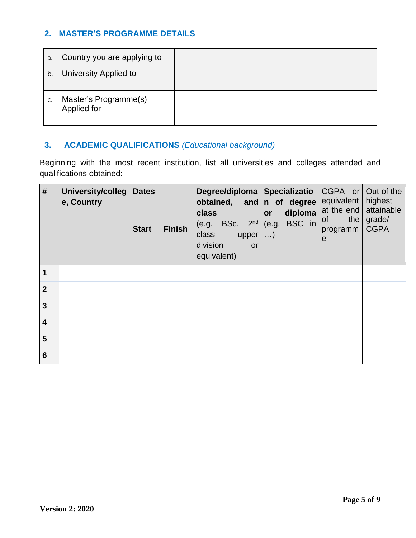# **2. MASTER'S PROGRAMME DETAILS**

| a. | Country you are applying to          |  |
|----|--------------------------------------|--|
| b. | University Applied to                |  |
|    | Master's Programme(s)<br>Applied for |  |

# **3. ACADEMIC QUALIFICATIONS** *(Educational background)*

Beginning with the most recent institution, list all universities and colleges attended and qualifications obtained:

| #                       | <b>University/colleg</b><br>e, Country | <b>Dates</b> |               | class<br>BSc. $2nd$<br>(e.g.<br>class<br>$\overline{\phantom{a}}$<br>upper<br>division<br><b>or</b><br>equivalent) | Degree/diploma   Specializatio<br>obtained, and n of degree<br>diploma<br>or | $CGPA$ or<br>Out of the<br>highest<br>equivalent<br>attainable<br>at the end<br>grade/<br>οf<br>the<br><b>CGPA</b><br>programm<br>$\mathbf e$ |  |
|-------------------------|----------------------------------------|--------------|---------------|--------------------------------------------------------------------------------------------------------------------|------------------------------------------------------------------------------|-----------------------------------------------------------------------------------------------------------------------------------------------|--|
|                         |                                        | <b>Start</b> | <b>Finish</b> |                                                                                                                    | BSC in<br>(e.g.<br>$\ldots$                                                  |                                                                                                                                               |  |
|                         |                                        |              |               |                                                                                                                    |                                                                              |                                                                                                                                               |  |
| $\overline{2}$          |                                        |              |               |                                                                                                                    |                                                                              |                                                                                                                                               |  |
| 3                       |                                        |              |               |                                                                                                                    |                                                                              |                                                                                                                                               |  |
| $\overline{\mathbf{4}}$ |                                        |              |               |                                                                                                                    |                                                                              |                                                                                                                                               |  |
| 5                       |                                        |              |               |                                                                                                                    |                                                                              |                                                                                                                                               |  |
| 6                       |                                        |              |               |                                                                                                                    |                                                                              |                                                                                                                                               |  |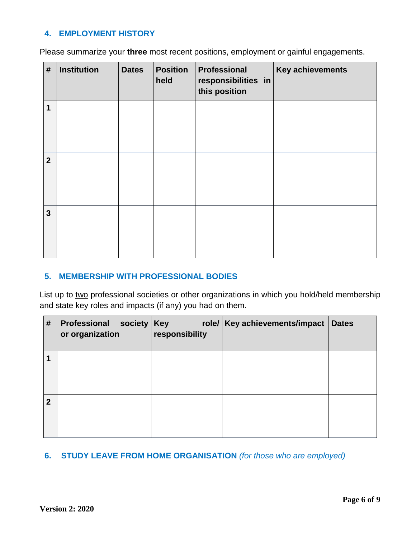# **4. EMPLOYMENT HISTORY**

Please summarize your **three** most recent positions, employment or gainful engagements.

| #              | <b>Institution</b> | <b>Dates</b> | <b>Position</b><br>held | Professional<br>responsibilities in<br>this position | Key achievements |
|----------------|--------------------|--------------|-------------------------|------------------------------------------------------|------------------|
| $\mathbf 1$    |                    |              |                         |                                                      |                  |
| $\overline{2}$ |                    |              |                         |                                                      |                  |
| $\overline{3}$ |                    |              |                         |                                                      |                  |

### **5. MEMBERSHIP WITH PROFESSIONAL BODIES**

List up to two professional societies or other organizations in which you hold/held membership and state key roles and impacts (if any) you had on them.

| #           | Professional society<br>or organization | <b>Key</b><br>responsibility | role/   Key achievements/impact | <b>Dates</b> |
|-------------|-----------------------------------------|------------------------------|---------------------------------|--------------|
| 1           |                                         |                              |                                 |              |
| $\mathbf 2$ |                                         |                              |                                 |              |

# **6. STUDY LEAVE FROM HOME ORGANISATION** *(for those who are employed)*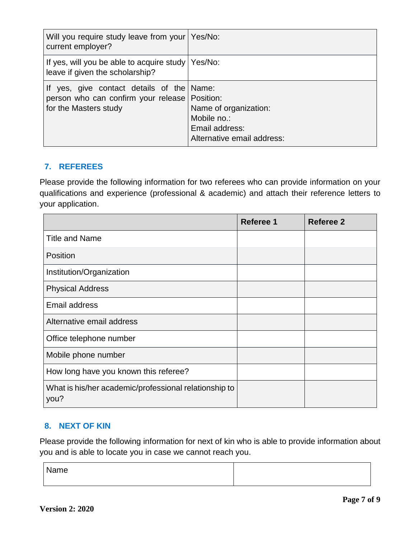| Will you require study leave from your   Yes/No:<br>current employer?                                                 |                                                                                      |
|-----------------------------------------------------------------------------------------------------------------------|--------------------------------------------------------------------------------------|
| If yes, will you be able to acquire study   Yes/No:<br>leave if given the scholarship?                                |                                                                                      |
| If yes, give contact details of the Name:<br>person who can confirm your release   Position:<br>for the Masters study | Name of organization:<br>Mobile no.:<br>Email address:<br>Alternative email address: |

# **7. REFEREES**

Please provide the following information for two referees who can provide information on your qualifications and experience (professional & academic) and attach their reference letters to your application.

|                                                               | <b>Referee 1</b> | <b>Referee 2</b> |
|---------------------------------------------------------------|------------------|------------------|
| <b>Title and Name</b>                                         |                  |                  |
| Position                                                      |                  |                  |
| Institution/Organization                                      |                  |                  |
| <b>Physical Address</b>                                       |                  |                  |
| Email address                                                 |                  |                  |
| Alternative email address                                     |                  |                  |
| Office telephone number                                       |                  |                  |
| Mobile phone number                                           |                  |                  |
| How long have you known this referee?                         |                  |                  |
| What is his/her academic/professional relationship to<br>you? |                  |                  |

# **8. NEXT OF KIN**

Please provide the following information for next of kin who is able to provide information about you and is able to locate you in case we cannot reach you.

Name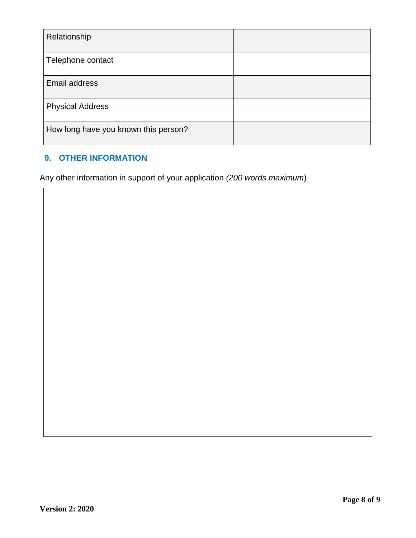| Relationship                         |  |
|--------------------------------------|--|
| Telephone contact                    |  |
| Email address                        |  |
| <b>Physical Address</b>              |  |
| How long have you known this person? |  |

# **9. OTHER INFORMATION**

Any other information in support of your application *(200 words maximum*)